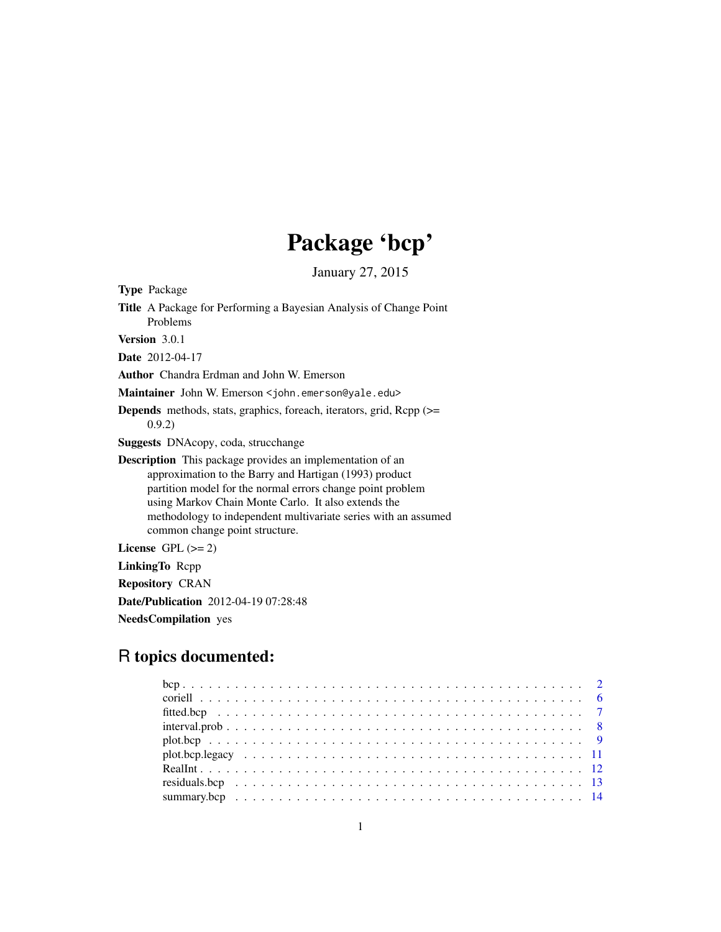## Package 'bcp'

January 27, 2015

Type Package

Title A Package for Performing a Bayesian Analysis of Change Point Problems Version 3.0.1 Date 2012-04-17 Author Chandra Erdman and John W. Emerson Maintainer John W. Emerson <john.emerson@yale.edu> Depends methods, stats, graphics, foreach, iterators, grid, Rcpp (>= 0.9.2) Suggests DNAcopy, coda, strucchange Description This package provides an implementation of an approximation to the Barry and Hartigan (1993) product partition model for the normal errors change point problem using Markov Chain Monte Carlo. It also extends the methodology to independent multivariate series with an assumed

License GPL  $(>= 2)$ 

LinkingTo Rcpp

Repository CRAN

Date/Publication 2012-04-19 07:28:48

common change point structure.

NeedsCompilation yes

## R topics documented:

| $interval.prob \ldots \ldots \ldots \ldots \ldots \ldots \ldots \ldots \ldots \ldots \ldots \ldots \ldots$ |  |
|------------------------------------------------------------------------------------------------------------|--|
| $plot. bcp \t\t\t \t\t \t\t \t \t\t \t \t\t \t \t\t9$                                                      |  |
|                                                                                                            |  |
|                                                                                                            |  |
|                                                                                                            |  |
|                                                                                                            |  |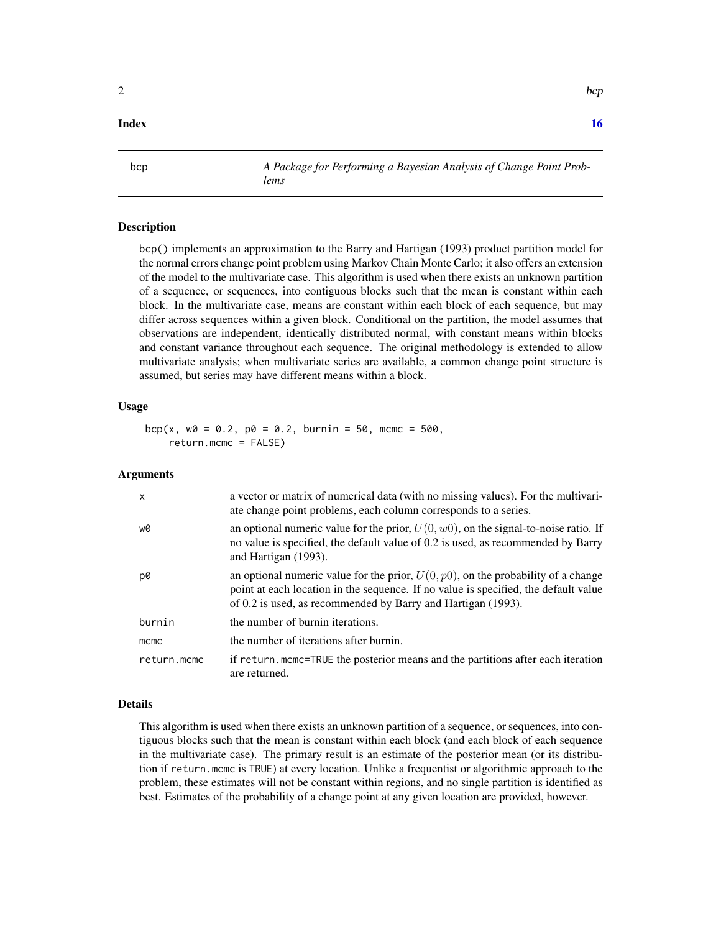#### <span id="page-1-0"></span>**Index** the contract of the contract of the contract of the contract of the contract of the contract of the contract of the contract of the contract of the contract of the contract of the contract of the contract of the co

<span id="page-1-1"></span>bcp *A Package for Performing a Bayesian Analysis of Change Point Problems*

## Description

bcp() implements an approximation to the Barry and Hartigan (1993) product partition model for the normal errors change point problem using Markov Chain Monte Carlo; it also offers an extension of the model to the multivariate case. This algorithm is used when there exists an unknown partition of a sequence, or sequences, into contiguous blocks such that the mean is constant within each block. In the multivariate case, means are constant within each block of each sequence, but may differ across sequences within a given block. Conditional on the partition, the model assumes that observations are independent, identically distributed normal, with constant means within blocks and constant variance throughout each sequence. The original methodology is extended to allow multivariate analysis; when multivariate series are available, a common change point structure is assumed, but series may have different means within a block.

#### Usage

 $bcp(x, w0 = 0.2, p0 = 0.2, burnin = 50, mcmc = 500,$ return.mcmc = FALSE)

#### Arguments

| x           | a vector or matrix of numerical data (with no missing values). For the multivari-<br>ate change point problems, each column corresponds to a series.                                                                                        |
|-------------|---------------------------------------------------------------------------------------------------------------------------------------------------------------------------------------------------------------------------------------------|
| w0          | an optional numeric value for the prior, $U(0, w0)$ , on the signal-to-noise ratio. If<br>no value is specified, the default value of 0.2 is used, as recommended by Barry<br>and Hartigan (1993).                                          |
| p0          | an optional numeric value for the prior, $U(0, p0)$ , on the probability of a change<br>point at each location in the sequence. If no value is specified, the default value<br>of 0.2 is used, as recommended by Barry and Hartigan (1993). |
| burnin      | the number of burnin iterations.                                                                                                                                                                                                            |
| mcmc        | the number of iterations after burnin.                                                                                                                                                                                                      |
| return.mcmc | if return.mcmc=TRUE the posterior means and the partitions after each iteration<br>are returned.                                                                                                                                            |

#### Details

This algorithm is used when there exists an unknown partition of a sequence, or sequences, into contiguous blocks such that the mean is constant within each block (and each block of each sequence in the multivariate case). The primary result is an estimate of the posterior mean (or its distribution if return.mcmc is TRUE) at every location. Unlike a frequentist or algorithmic approach to the problem, these estimates will not be constant within regions, and no single partition is identified as best. Estimates of the probability of a change point at any given location are provided, however.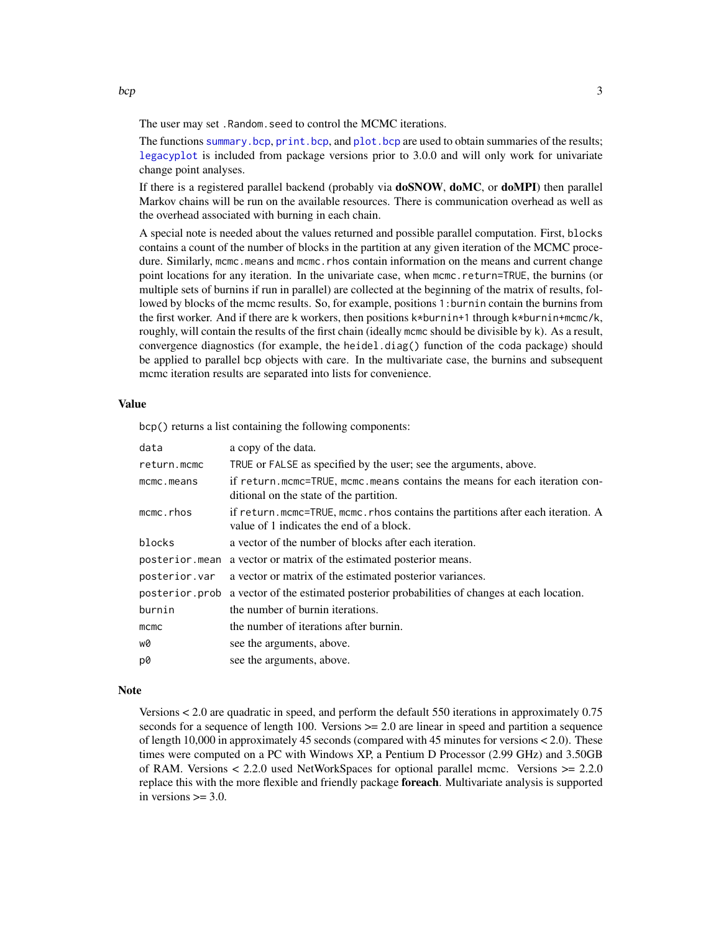<span id="page-2-0"></span>The user may set .Random.seed to control the MCMC iterations.

The functions [summary.bcp](#page-13-1), [print.bcp](#page-13-2), and [plot.bcp](#page-8-1) are used to obtain summaries of the results; [legacyplot](#page-10-1) is included from package versions prior to 3.0.0 and will only work for univariate change point analyses.

If there is a registered parallel backend (probably via doSNOW, doMC, or doMPI) then parallel Markov chains will be run on the available resources. There is communication overhead as well as the overhead associated with burning in each chain.

A special note is needed about the values returned and possible parallel computation. First, blocks contains a count of the number of blocks in the partition at any given iteration of the MCMC procedure. Similarly, mcmc.means and mcmc.rhos contain information on the means and current change point locations for any iteration. In the univariate case, when mcmc.return=TRUE, the burnins (or multiple sets of burnins if run in parallel) are collected at the beginning of the matrix of results, followed by blocks of the mcmc results. So, for example, positions 1:burnin contain the burnins from the first worker. And if there are k workers, then positions k\*burnin+1 through k\*burnin+mcmc/k, roughly, will contain the results of the first chain (ideally mcmc should be divisible by k). As a result, convergence diagnostics (for example, the heidel.diag() function of the coda package) should be applied to parallel bcp objects with care. In the multivariate case, the burnins and subsequent mcmc iteration results are separated into lists for convenience.

#### Value

bcp() returns a list containing the following components:

| data           | a copy of the data.                                                                                                        |
|----------------|----------------------------------------------------------------------------------------------------------------------------|
| return.mcmc    | TRUE or FALSE as specified by the user; see the arguments, above.                                                          |
| mcmc.means     | if return.mcmc=TRUE, mcmc.means contains the means for each iteration con-<br>ditional on the state of the partition.      |
| mcmc.rhos      | if return.mcmc=TRUE, mcmc.rhos contains the partitions after each iteration. A<br>value of 1 indicates the end of a block. |
| blocks         | a vector of the number of blocks after each iteration.                                                                     |
|                | posterior mean a vector or matrix of the estimated posterior means.                                                        |
| posterior.var  | a vector or matrix of the estimated posterior variances.                                                                   |
| posterior.prob | a vector of the estimated posterior probabilities of changes at each location.                                             |
| burnin         | the number of burnin iterations.                                                                                           |
| mcmc           | the number of iterations after burnin.                                                                                     |
| w0             | see the arguments, above.                                                                                                  |
| p0             | see the arguments, above.                                                                                                  |

#### **Note**

Versions < 2.0 are quadratic in speed, and perform the default 550 iterations in approximately 0.75 seconds for a sequence of length 100. Versions  $\geq$  2.0 are linear in speed and partition a sequence of length 10,000 in approximately 45 seconds (compared with 45 minutes for versions < 2.0). These times were computed on a PC with Windows XP, a Pentium D Processor (2.99 GHz) and 3.50GB of RAM. Versions  $\lt$  2.2.0 used NetWorkSpaces for optional parallel mcmc. Versions  $\gt$  = 2.2.0 replace this with the more flexible and friendly package foreach. Multivariate analysis is supported in versions  $\geq$  3.0.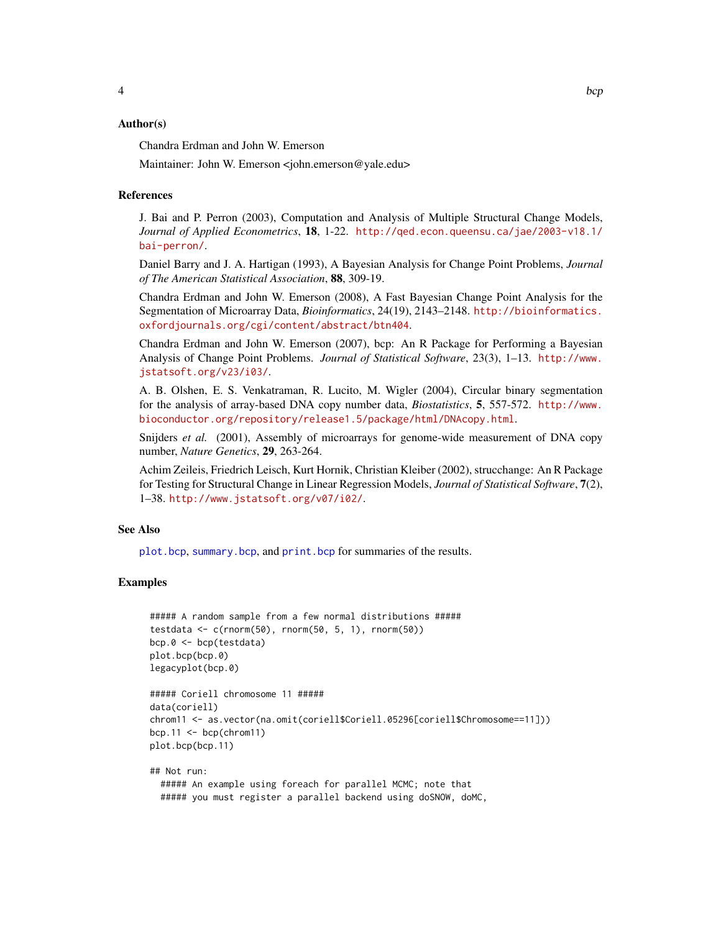#### <span id="page-3-0"></span>Author(s)

Chandra Erdman and John W. Emerson

Maintainer: John W. Emerson <john.emerson@yale.edu>

#### References

J. Bai and P. Perron (2003), Computation and Analysis of Multiple Structural Change Models, *Journal of Applied Econometrics*, 18, 1-22. [http://qed.econ.queensu.ca/jae/2003-v18.1/](http://qed.econ.queensu.ca/jae/2003-v18.1/bai-perron/) [bai-perron/](http://qed.econ.queensu.ca/jae/2003-v18.1/bai-perron/).

Daniel Barry and J. A. Hartigan (1993), A Bayesian Analysis for Change Point Problems, *Journal of The American Statistical Association*, 88, 309-19.

Chandra Erdman and John W. Emerson (2008), A Fast Bayesian Change Point Analysis for the Segmentation of Microarray Data, *Bioinformatics*, 24(19), 2143–2148. [http://bioinformatics.](http://bioinformatics.oxfordjournals.org/cgi/content/abstract/btn404) [oxfordjournals.org/cgi/content/abstract/btn404](http://bioinformatics.oxfordjournals.org/cgi/content/abstract/btn404).

Chandra Erdman and John W. Emerson (2007), bcp: An R Package for Performing a Bayesian Analysis of Change Point Problems. *Journal of Statistical Software*, 23(3), 1–13. [http://www.](http://www.jstatsoft.org/v23/i03/) [jstatsoft.org/v23/i03/](http://www.jstatsoft.org/v23/i03/).

A. B. Olshen, E. S. Venkatraman, R. Lucito, M. Wigler (2004), Circular binary segmentation for the analysis of array-based DNA copy number data, *Biostatistics*, 5, 557-572. [http://www.](http://www.bioconductor.org/repository/release1.5/package/html/DNAcopy.html) [bioconductor.org/repository/release1.5/package/html/DNAcopy.html](http://www.bioconductor.org/repository/release1.5/package/html/DNAcopy.html).

Snijders *et al.* (2001), Assembly of microarrays for genome-wide measurement of DNA copy number, *Nature Genetics*, 29, 263-264.

Achim Zeileis, Friedrich Leisch, Kurt Hornik, Christian Kleiber (2002), strucchange: An R Package for Testing for Structural Change in Linear Regression Models, *Journal of Statistical Software*, 7(2), 1–38. <http://www.jstatsoft.org/v07/i02/>.

## See Also

[plot.bcp](#page-8-1), [summary.bcp](#page-13-1), and [print.bcp](#page-13-2) for summaries of the results.

```
##### A random sample from a few normal distributions #####
testdata <- c(rnorm(50), rnorm(50, 5, 1), rnorm(50))
bcp.0 <- bcp(testdata)
plot.bcp(bcp.0)
legacyplot(bcp.0)
```

```
##### Coriell chromosome 11 #####
data(coriell)
chrom11 <- as.vector(na.omit(coriell$Coriell.05296[coriell$Chromosome==11]))
bcp.11 \leq bcp(chrom11)
plot.bcp(bcp.11)
```

```
## Not run:
 ##### An example using foreach for parallel MCMC; note that
  ##### you must register a parallel backend using doSNOW, doMC,
```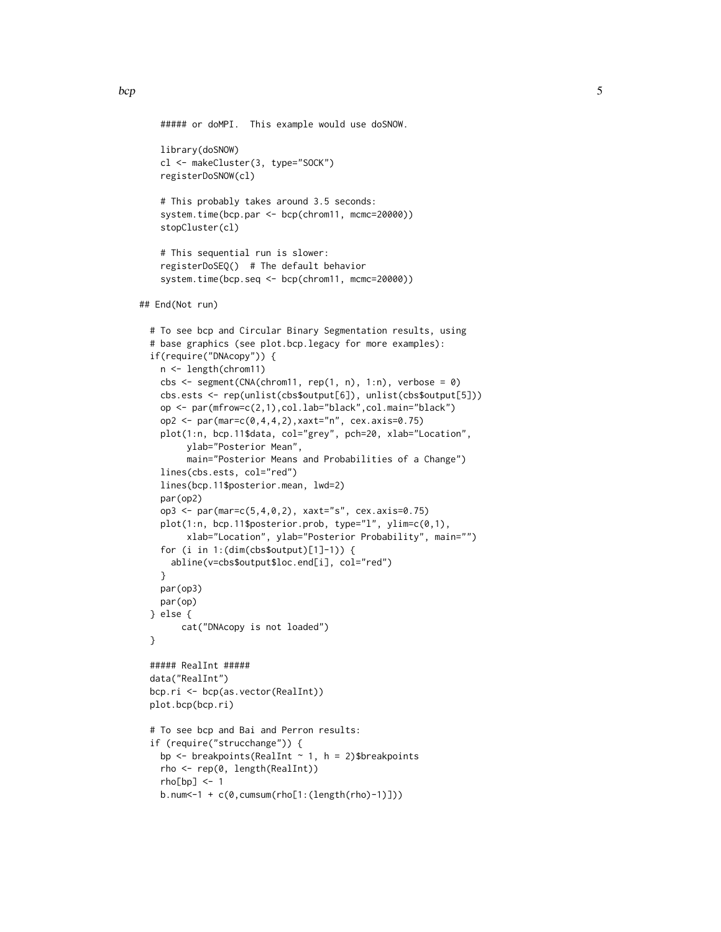```
bcp 5
```
 $rho[bp] < -1$ 

b.num<-1 + c(0,cumsum(rho[1:(length(rho)-1)]))

```
##### or doMPI. This example would use doSNOW.
   library(doSNOW)
   cl <- makeCluster(3, type="SOCK")
   registerDoSNOW(cl)
   # This probably takes around 3.5 seconds:
   system.time(bcp.par <- bcp(chrom11, mcmc=20000))
   stopCluster(cl)
   # This sequential run is slower:
   registerDoSEQ() # The default behavior
   system.time(bcp.seq <- bcp(chrom11, mcmc=20000))
## End(Not run)
 # To see bcp and Circular Binary Segmentation results, using
 # base graphics (see plot.bcp.legacy for more examples):
 if(require("DNAcopy")) {
   n <- length(chrom11)
   cbs \leq segment(CNA(chrom11, rep(1, n), 1:n), verbose = 0)
   cbs.ests <- rep(unlist(cbs$output[6]), unlist(cbs$output[5]))
   op <- par(mfrow=c(2,1),col.lab="black",col.main="black")
   op2 <- par(mar=c(0,4,4,2),xaxt="n", cex.axis=0.75)
   plot(1:n, bcp.11$data, col="grey", pch=20, xlab="Location",
         ylab="Posterior Mean",
        main="Posterior Means and Probabilities of a Change")
   lines(cbs.ests, col="red")
   lines(bcp.11$posterior.mean, lwd=2)
   par(op2)
   op3 <- par(mar=c(5,4,0,2), xaxt="s", cex.axis=0.75)
   plot(1:n, bcp.11$posterior.prob, type="l", ylim=c(0,1),
        xlab="Location", ylab="Posterior Probability", main="")
   for (i in 1:(dim(cbs$output)[1]-1)) {
     abline(v=cbs$output$loc.end[i], col="red")
   }
   par(op3)
   par(op)
 } else {
       cat("DNAcopy is not loaded")
 }
 ##### RealInt #####
 data("RealInt")
 bcp.ri <- bcp(as.vector(RealInt))
 plot.bcp(bcp.ri)
 # To see bcp and Bai and Perron results:
 if (require("strucchange")) {
   bp \leq breakpoints(RealInt \sim 1, h = 2)$breakpoints
   rho <- rep(0, length(RealInt))
```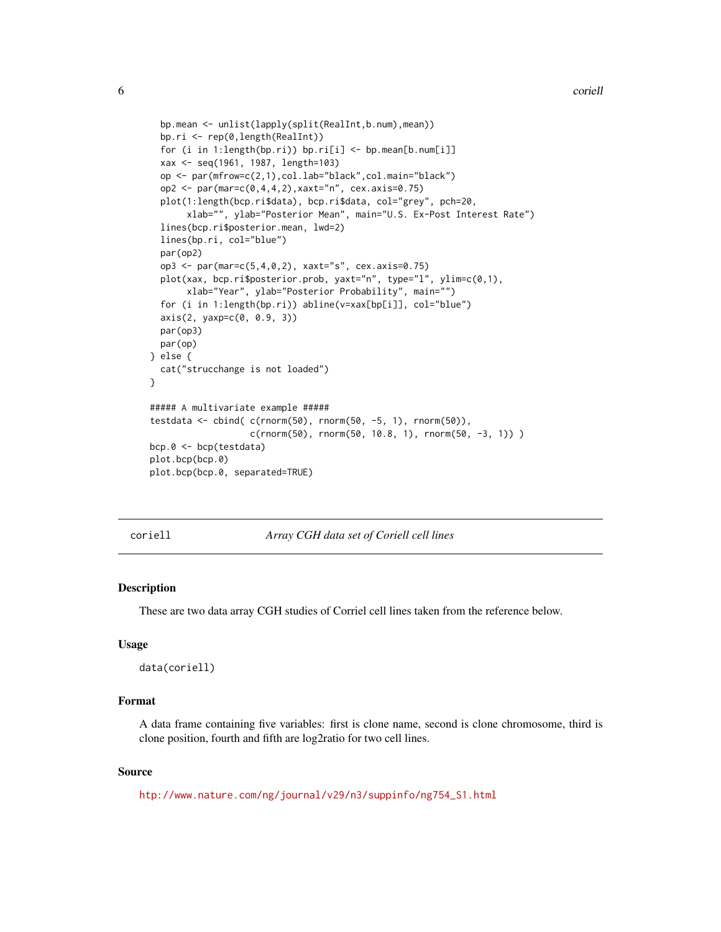```
bp.mean <- unlist(lapply(split(RealInt,b.num),mean))
  bp.ri <- rep(0,length(RealInt))
  for (i in 1:length(bp.ri)) bp.ri[i] <- bp.mean[b.num[i]]
  xax <- seq(1961, 1987, length=103)
  op <- par(mfrow=c(2,1),col.lab="black",col.main="black")
  op2 <- par(mar=c(0,4,4,2), xaxt="n", cex.axis=0.75)
  plot(1:length(bcp.ri$data), bcp.ri$data, col="grey", pch=20,
       xlab="", ylab="Posterior Mean", main="U.S. Ex-Post Interest Rate")
  lines(bcp.ri$posterior.mean, lwd=2)
  lines(bp.ri, col="blue")
  par(op2)
  op3 <- par(mar=c(5,4,0,2), xaxt="s", cex.axis=0.75)
  plot(xax, bcp.ri$posterior.prob, yaxt="n", type="l", ylim=c(0,1),
       xlab="Year", ylab="Posterior Probability", main="")
  for (i in 1:length(bp.ri)) abline(v=xax[bp[i]], col="blue")
  axis(2, yaxp=c(0, 0.9, 3))
  par(op3)
  par(op)
} else {
  cat("strucchange is not loaded")
}
##### A multivariate example #####
testdata <- cbind( c(rnorm(50), rnorm(50, -5, 1), rnorm(50)),
                   c(rnorm(50), rnorm(50, 10.8, 1), rnorm(50, -3, 1)) )
bcp.0 <- bcp(testdata)
plot.bcp(bcp.0)
plot.bcp(bcp.0, separated=TRUE)
```
coriell *Array CGH data set of Coriell cell lines*

#### Description

These are two data array CGH studies of Corriel cell lines taken from the reference below.

#### Usage

```
data(coriell)
```
#### Format

A data frame containing five variables: first is clone name, second is clone chromosome, third is clone position, fourth and fifth are log2ratio for two cell lines.

## Source

[htp://www.nature.com/ng/journal/v29/n3/suppinfo/ng754\\_S1.html](htp://www.nature.com/ng/journal/v29/n3/suppinfo/ng754_S1.html)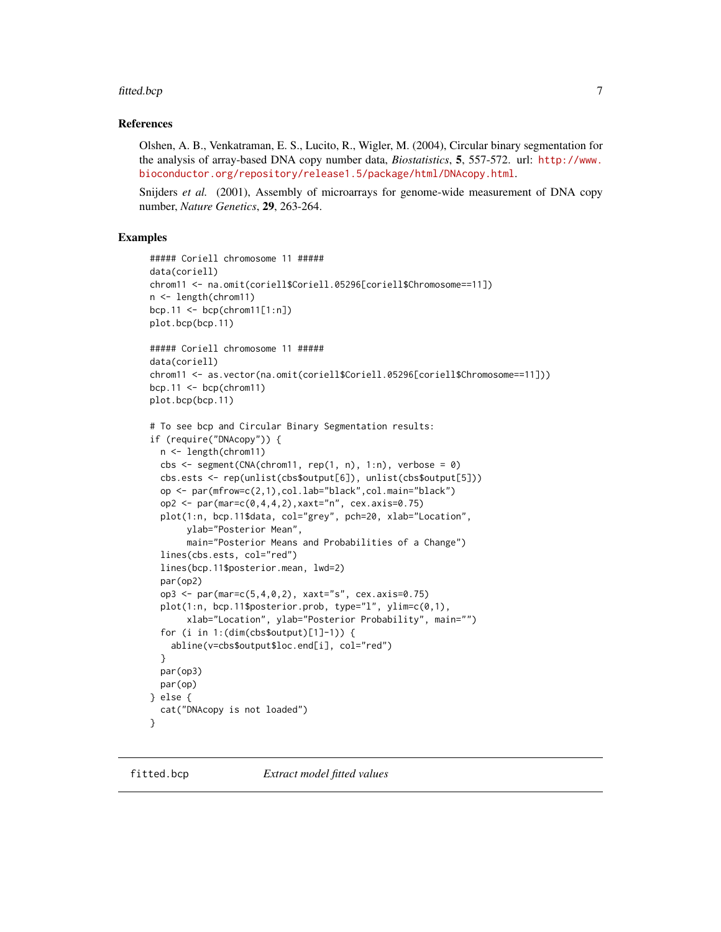#### <span id="page-6-0"></span>fitted.bcp 7

#### References

Olshen, A. B., Venkatraman, E. S., Lucito, R., Wigler, M. (2004), Circular binary segmentation for the analysis of array-based DNA copy number data, *Biostatistics*, 5, 557-572. url: [http://www.](http://www.bioconductor.org/repository/release1.5/package/html/DNAcopy.html) [bioconductor.org/repository/release1.5/package/html/DNAcopy.html](http://www.bioconductor.org/repository/release1.5/package/html/DNAcopy.html).

Snijders *et al.* (2001), Assembly of microarrays for genome-wide measurement of DNA copy number, *Nature Genetics*, 29, 263-264.

```
##### Coriell chromosome 11 #####
data(coriell)
chrom11 <- na.omit(coriell$Coriell.05296[coriell$Chromosome==11])
n <- length(chrom11)
bcp.11 <- bcp(chrom11[1:n])
plot.bcp(bcp.11)
##### Coriell chromosome 11 #####
data(coriell)
chrom11 <- as.vector(na.omit(coriell$Coriell.05296[coriell$Chromosome==11]))
bcp.11 \leq bcp(chrom11)
plot.bcp(bcp.11)
# To see bcp and Circular Binary Segmentation results:
if (require("DNAcopy")) {
  n <- length(chrom11)
  cbs \leq segment(CNA(chrom11, rep(1, n), 1:n), verbose = 0)
  cbs.ests <- rep(unlist(cbs$output[6]), unlist(cbs$output[5]))
  op <- par(mfrow=c(2,1),col.lab="black",col.main="black")
  op2 <- par(mar=c(0,4,4,2),xaxt="n", cex.axis=0.75)
  plot(1:n, bcp.11$data, col="grey", pch=20, xlab="Location",
       ylab="Posterior Mean",
      main="Posterior Means and Probabilities of a Change")
  lines(cbs.ests, col="red")
  lines(bcp.11$posterior.mean, lwd=2)
  par(op2)
  op3 <- par(mar=c(5,4,0,2), xaxt="s", cex.axis=0.75)
  plot(1:n, bcp.11$posterior.prob, type="l", ylim=c(0,1),
       xlab="Location", ylab="Posterior Probability", main="")
  for (i in 1:(dim(cbs$output)[1]-1)) {
    abline(v=cbs$output$loc.end[i], col="red")
  }
  par(op3)
  par(op)
} else {
  cat("DNAcopy is not loaded")
}
```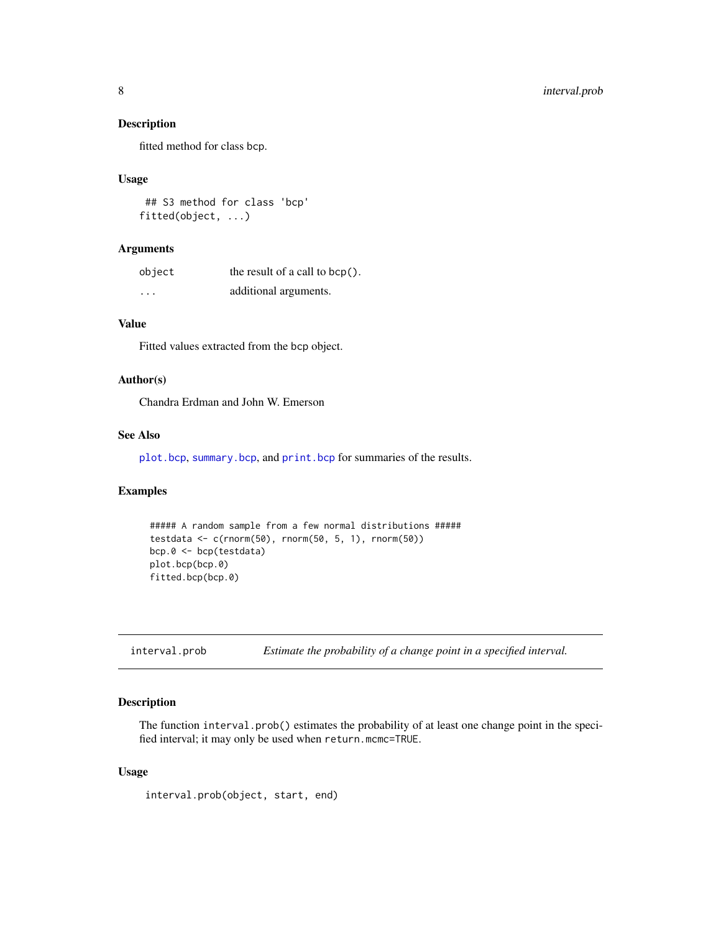## Description

fitted method for class bcp.

#### Usage

```
## S3 method for class 'bcp'
fitted(object, ...)
```
#### Arguments

| object                  | the result of a call to $bcp()$ . |
|-------------------------|-----------------------------------|
| $\cdot$ $\cdot$ $\cdot$ | additional arguments.             |

## Value

Fitted values extracted from the bcp object.

#### Author(s)

Chandra Erdman and John W. Emerson

## See Also

[plot.bcp](#page-8-1), [summary.bcp](#page-13-1), and [print.bcp](#page-13-2) for summaries of the results.

#### Examples

```
##### A random sample from a few normal distributions #####
testdata <- c(rnorm(50), rnorm(50, 5, 1), rnorm(50))
bcp.0 <- bcp(testdata)
plot.bcp(bcp.0)
fitted.bcp(bcp.0)
```
interval.prob *Estimate the probability of a change point in a specified interval.*

## Description

The function interval.prob() estimates the probability of at least one change point in the specified interval; it may only be used when return.mcmc=TRUE.

## Usage

```
interval.prob(object, start, end)
```
<span id="page-7-0"></span>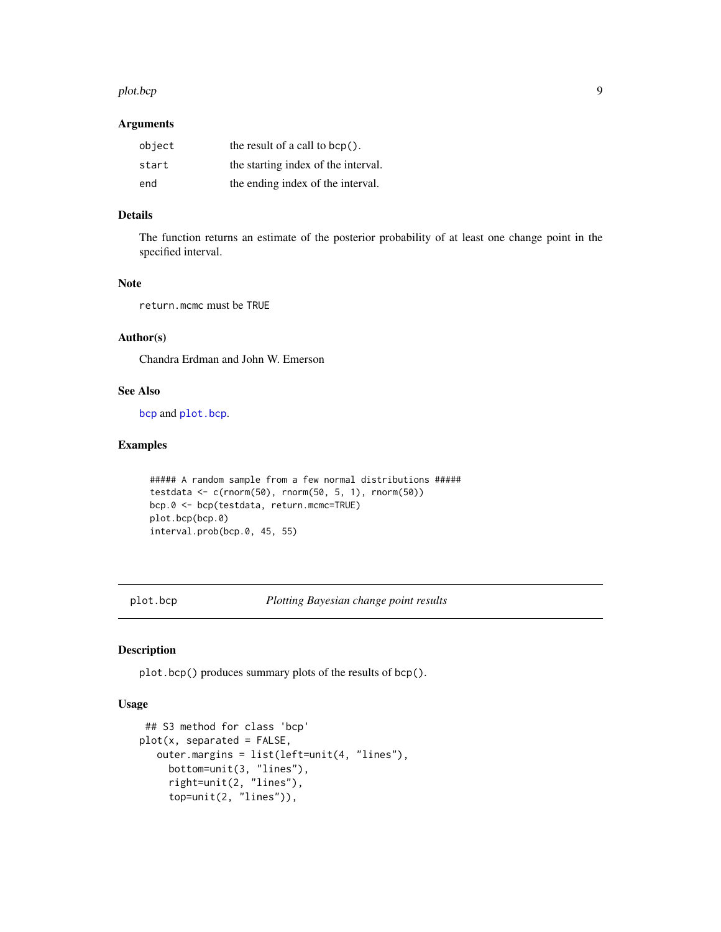#### <span id="page-8-0"></span>plot.bcp 99 and 2012 12:00 plot.bcp 99 and 2012 12:00 plot.bcp 99 and 2012 12:00 plot.bcp 99 and 2013 12:00 plot.bcp

## Arguments

| object | the result of a call to $bcp()$ .   |
|--------|-------------------------------------|
| start  | the starting index of the interval. |
| end    | the ending index of the interval.   |

## Details

The function returns an estimate of the posterior probability of at least one change point in the specified interval.

#### Note

return.mcmc must be TRUE

## Author(s)

Chandra Erdman and John W. Emerson

#### See Also

[bcp](#page-1-1) and [plot.bcp](#page-8-1).

## Examples

```
##### A random sample from a few normal distributions #####
testdata <- c(rnorm(50), rnorm(50, 5, 1), rnorm(50))
bcp.0 <- bcp(testdata, return.mcmc=TRUE)
plot.bcp(bcp.0)
interval.prob(bcp.0, 45, 55)
```
<span id="page-8-1"></span>plot.bcp *Plotting Bayesian change point results*

## Description

plot.bcp() produces summary plots of the results of bcp().

## Usage

```
## S3 method for class 'bcp'
plot(x, separated = FALSE,outer.margins = list(left=unit(4, "lines"),
     bottom=unit(3, "lines"),
     right=unit(2, "lines"),
     top=unit(2, "lines")),
```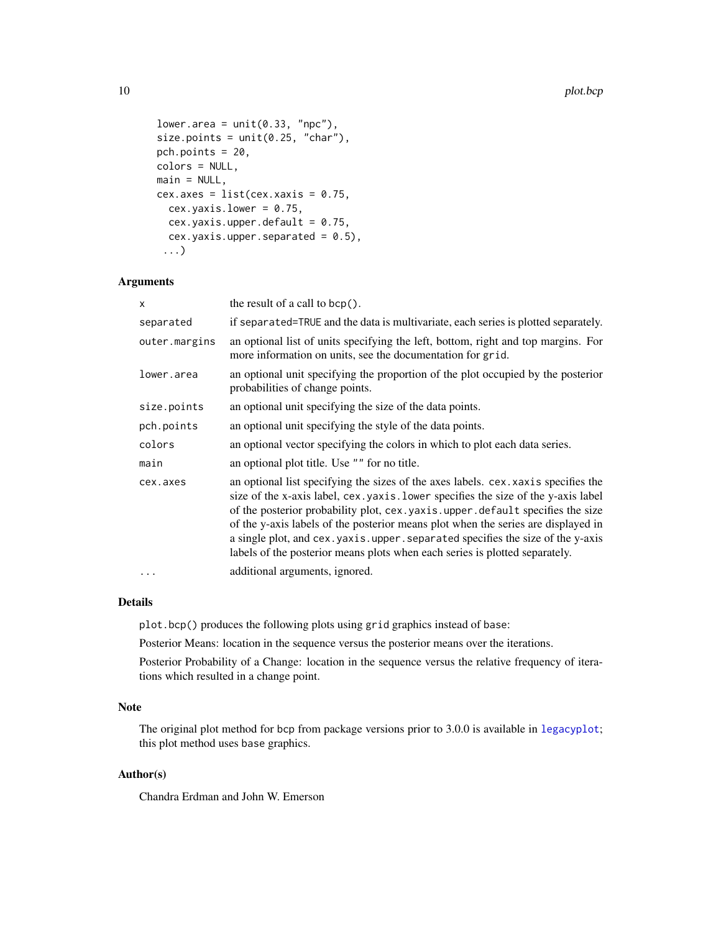```
lower.area = unit(0.33, "npc"),size.points = unit(0.25, "char"),
pch.points = 20,
colors = NULL,
main = NULL,cex.axes = list(cex.xaxis = 0.75,cex.yaxis. lower = 0.75,cex.yaxis.upper.default = 0.75,
  cex.yaxis.upper.separated = <math>0.5</math>),...)
```
## Arguments

| $\mathsf{x}$  | the result of a call to $bcp()$ .                                                                                                                                                                                                                                                                                                                                                                                                                                                                                    |
|---------------|----------------------------------------------------------------------------------------------------------------------------------------------------------------------------------------------------------------------------------------------------------------------------------------------------------------------------------------------------------------------------------------------------------------------------------------------------------------------------------------------------------------------|
| separated     | if separated=TRUE and the data is multivariate, each series is plotted separately.                                                                                                                                                                                                                                                                                                                                                                                                                                   |
| outer.margins | an optional list of units specifying the left, bottom, right and top margins. For<br>more information on units, see the documentation for grid.                                                                                                                                                                                                                                                                                                                                                                      |
| lower.area    | an optional unit specifying the proportion of the plot occupied by the posterior<br>probabilities of change points.                                                                                                                                                                                                                                                                                                                                                                                                  |
| size.points   | an optional unit specifying the size of the data points.                                                                                                                                                                                                                                                                                                                                                                                                                                                             |
| pch.points    | an optional unit specifying the style of the data points.                                                                                                                                                                                                                                                                                                                                                                                                                                                            |
| colors        | an optional vector specifying the colors in which to plot each data series.                                                                                                                                                                                                                                                                                                                                                                                                                                          |
| main          | an optional plot title. Use "" for no title.                                                                                                                                                                                                                                                                                                                                                                                                                                                                         |
| cex.axes      | an optional list specifying the sizes of the axes labels. cex. xaxis specifies the<br>size of the x-axis label, cex. yaxis. lower specifies the size of the y-axis label<br>of the posterior probability plot, cex. yaxis. upper. default specifies the size<br>of the y-axis labels of the posterior means plot when the series are displayed in<br>a single plot, and cex. yaxis. upper. separated specifies the size of the y-axis<br>labels of the posterior means plots when each series is plotted separately. |
| .             | additional arguments, ignored.                                                                                                                                                                                                                                                                                                                                                                                                                                                                                       |

## Details

plot.bcp() produces the following plots using grid graphics instead of base:

Posterior Means: location in the sequence versus the posterior means over the iterations.

Posterior Probability of a Change: location in the sequence versus the relative frequency of iterations which resulted in a change point.

## Note

The original plot method for bcp from package versions prior to 3.0.0 is available in [legacyplot](#page-10-1); this plot method uses base graphics.

## Author(s)

Chandra Erdman and John W. Emerson

<span id="page-9-0"></span>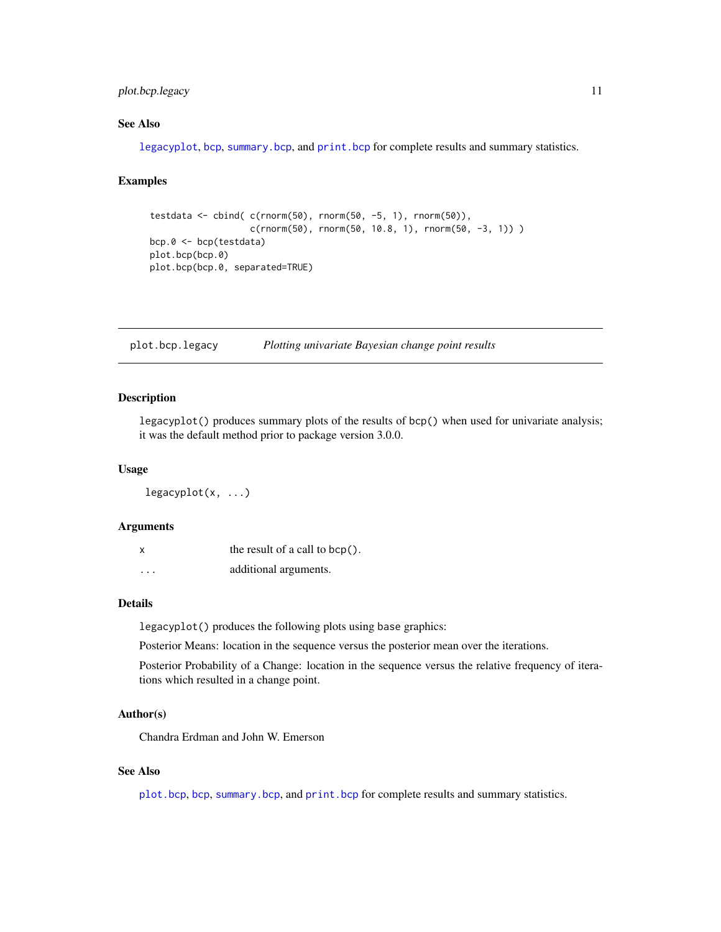## <span id="page-10-0"></span>plot.bcp.legacy 11

## See Also

[legacyplot](#page-10-1), [bcp](#page-1-1), [summary.bcp](#page-13-1), and [print.bcp](#page-13-2) for complete results and summary statistics.

## Examples

```
testdata <- cbind(c(rnorm(50), rnorm(50, -5, 1), rnorm(50)),
                   c(rnorm(50), rnorm(50, 10.8, 1), rnorm(50, -3, 1)) )
bcp.0 <- bcp(testdata)
plot.bcp(bcp.0)
plot.bcp(bcp.0, separated=TRUE)
```
plot.bcp.legacy *Plotting univariate Bayesian change point results*

#### <span id="page-10-1"></span>Description

legacyplot() produces summary plots of the results of bcp() when used for univariate analysis; it was the default method prior to package version 3.0.0.

#### Usage

legacyplot(x, ...)

#### Arguments

|          | the result of a call to $bcp()$ . |
|----------|-----------------------------------|
| $\cdots$ | additional arguments.             |

## Details

legacyplot() produces the following plots using base graphics:

Posterior Means: location in the sequence versus the posterior mean over the iterations.

Posterior Probability of a Change: location in the sequence versus the relative frequency of iterations which resulted in a change point.

#### Author(s)

Chandra Erdman and John W. Emerson

## See Also

[plot.bcp](#page-8-1), [bcp](#page-1-1), [summary.bcp](#page-13-1), and [print.bcp](#page-13-2) for complete results and summary statistics.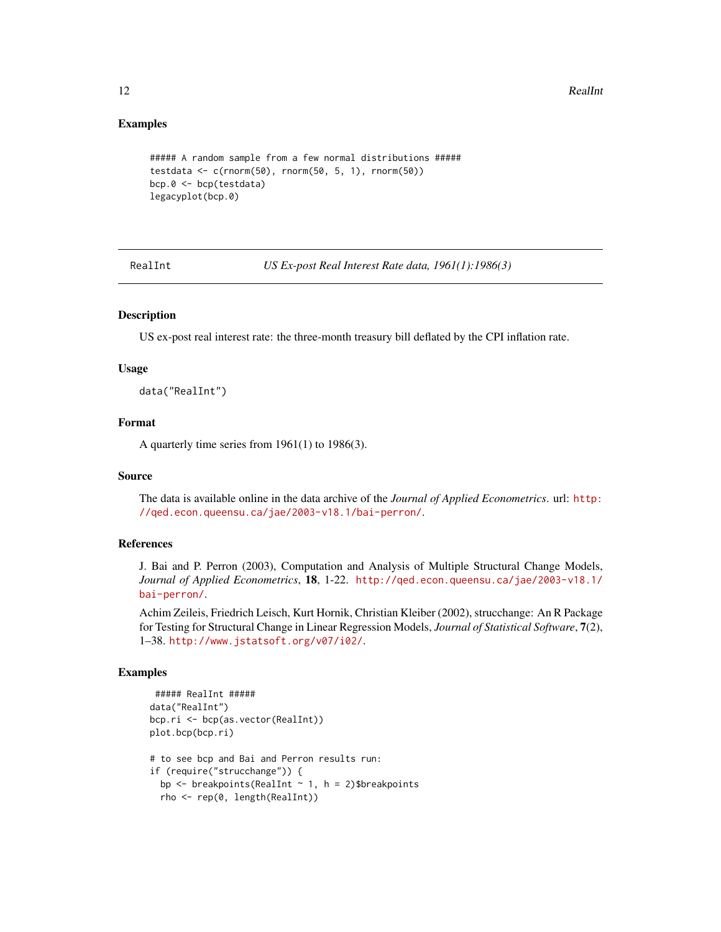## Examples

```
##### A random sample from a few normal distributions #####
testdata <- c(rnorm(50), rnorm(50, 5, 1), rnorm(50))
bcp.0 <- bcp(testdata)
legacyplot(bcp.0)
```
RealInt *US Ex-post Real Interest Rate data, 1961(1):1986(3)*

#### Description

US ex-post real interest rate: the three-month treasury bill deflated by the CPI inflation rate.

#### Usage

data("RealInt")

#### Format

A quarterly time series from 1961(1) to 1986(3).

#### Source

The data is available online in the data archive of the *Journal of Applied Econometrics*. url: [http:](http://qed.econ.queensu.ca/jae/2003-v18.1/bai-perron/) [//qed.econ.queensu.ca/jae/2003-v18.1/bai-perron/](http://qed.econ.queensu.ca/jae/2003-v18.1/bai-perron/).

## References

J. Bai and P. Perron (2003), Computation and Analysis of Multiple Structural Change Models, *Journal of Applied Econometrics*, 18, 1-22. [http://qed.econ.queensu.ca/jae/2003-v18.1/](http://qed.econ.queensu.ca/jae/2003-v18.1/bai-perron/) [bai-perron/](http://qed.econ.queensu.ca/jae/2003-v18.1/bai-perron/).

Achim Zeileis, Friedrich Leisch, Kurt Hornik, Christian Kleiber (2002), strucchange: An R Package for Testing for Structural Change in Linear Regression Models, *Journal of Statistical Software*, 7(2), 1–38. <http://www.jstatsoft.org/v07/i02/>.

```
##### RealInt #####
data("RealInt")
bcp.ri <- bcp(as.vector(RealInt))
plot.bcp(bcp.ri)
# to see bcp and Bai and Perron results run:
if (require("strucchange")) {
 bp \leq breakpoints(RealInt \sim 1, h = 2)$breakpoints
  rho <- rep(0, length(RealInt))
```
<span id="page-11-0"></span>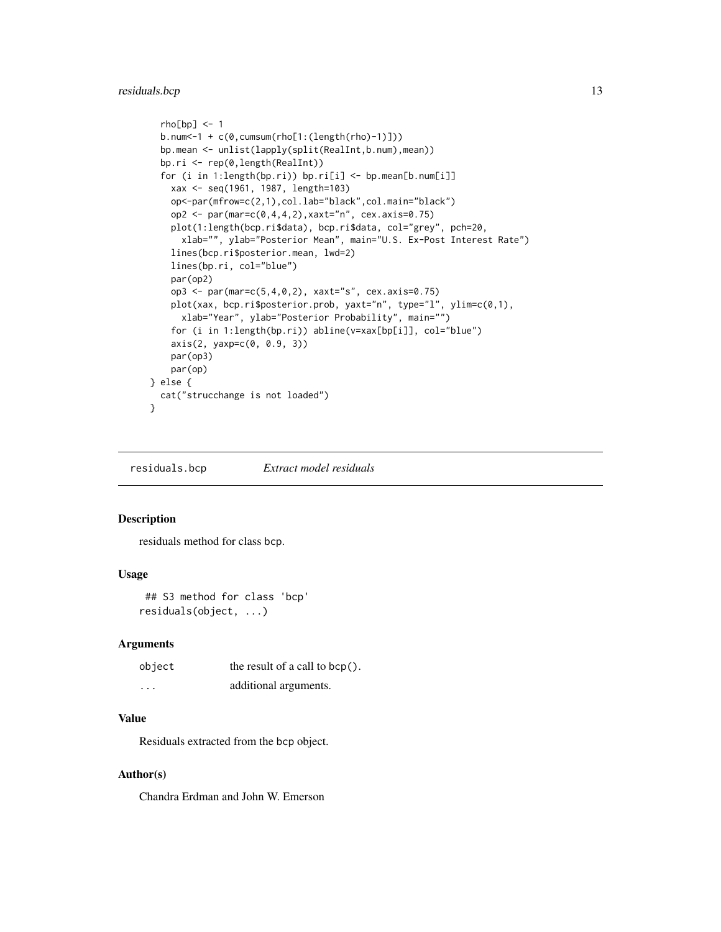## <span id="page-12-0"></span>residuals.bcp 13

```
rho[bp] <- 1
  b.num<-1 + c(0,cumsum(rho[1:(length(rho)-1)]))
  bp.mean <- unlist(lapply(split(RealInt,b.num),mean))
  bp.ri <- rep(0,length(RealInt))
  for (i in 1:length(bp.ri)) bp.ri[i] <- bp.mean[b.num[i]]
    xax <- seq(1961, 1987, length=103)
    op<-par(mfrow=c(2,1),col.lab="black",col.main="black")
    op2 <- par(mar=c(0,4,4,2), xaxt="n", cex.axis=0.75)
    plot(1:length(bcp.ri$data), bcp.ri$data, col="grey", pch=20,
      xlab="", ylab="Posterior Mean", main="U.S. Ex-Post Interest Rate")
    lines(bcp.ri$posterior.mean, lwd=2)
    lines(bp.ri, col="blue")
    par(op2)
    op3 <- par(mar=c(5,4,0,2), xaxt="s", cex.axis=0.75)
    plot(xax, bcp.ri$posterior.prob, yaxt="n", type="l", ylim=c(0,1),
      xlab="Year", ylab="Posterior Probability", main="")
    for (i in 1:length(bp.ri)) abline(v=xax[bp[i]], col="blue")
    axis(2, yaxp=c(0, 0.9, 3))
    par(op3)
    par(op)
} else {
  cat("strucchange is not loaded")
```
residuals.bcp *Extract model residuals*

#### Description

}

residuals method for class bcp.

#### Usage

```
## S3 method for class 'bcp'
residuals(object, ...)
```
#### Arguments

| object   | the result of a call to $bcp()$ . |
|----------|-----------------------------------|
| $\cdots$ | additional arguments.             |

## Value

Residuals extracted from the bcp object.

## Author(s)

Chandra Erdman and John W. Emerson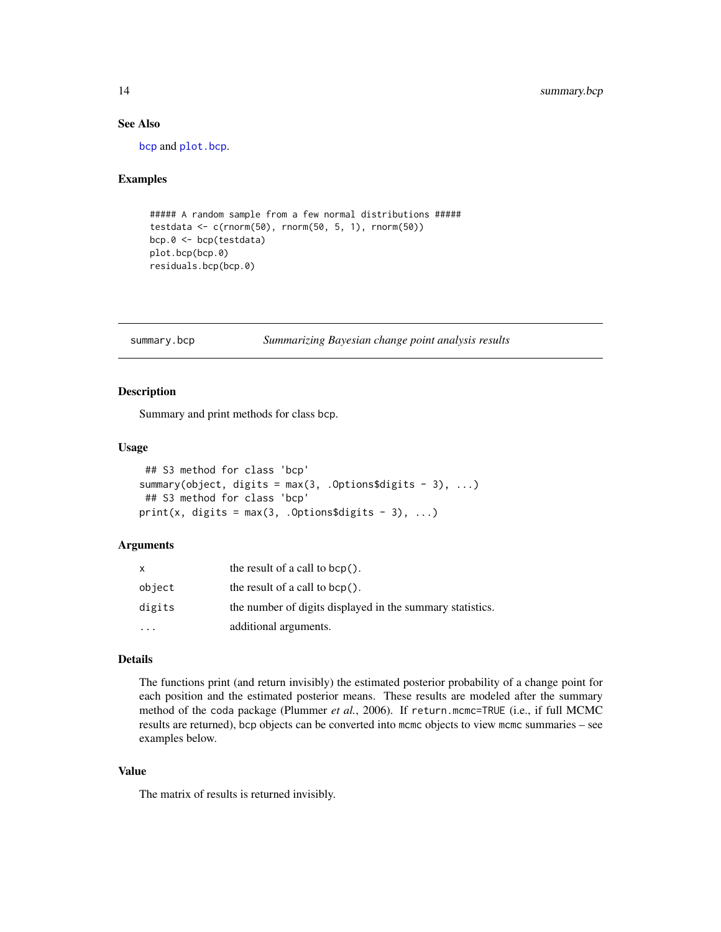## See Also

[bcp](#page-1-1) and [plot.bcp](#page-8-1).

#### Examples

```
##### A random sample from a few normal distributions #####
testdata <- c(rnorm(50), rnorm(50, 5, 1), rnorm(50))
bcp.0 <- bcp(testdata)
plot.bcp(bcp.0)
residuals.bcp(bcp.0)
```
<span id="page-13-1"></span>summary.bcp *Summarizing Bayesian change point analysis results*

#### <span id="page-13-2"></span>Description

Summary and print methods for class bcp.

#### Usage

```
## S3 method for class 'bcp'
summary(object, digits = max(3, .Options$digits - 3), ...)
## S3 method for class 'bcp'
print(x, digits = max(3, .0ptions$ digits - 3), ...)
```
#### Arguments

| x         | the result of a call to $bcp()$ .                         |
|-----------|-----------------------------------------------------------|
| object    | the result of a call to $bcp()$ .                         |
| digits    | the number of digits displayed in the summary statistics. |
| $\ddotsc$ | additional arguments.                                     |

## Details

The functions print (and return invisibly) the estimated posterior probability of a change point for each position and the estimated posterior means. These results are modeled after the summary method of the coda package (Plummer *et al.*, 2006). If return.mcmc=TRUE (i.e., if full MCMC results are returned), bcp objects can be converted into mcmc objects to view mcmc summaries – see examples below.

## Value

The matrix of results is returned invisibly.

<span id="page-13-0"></span>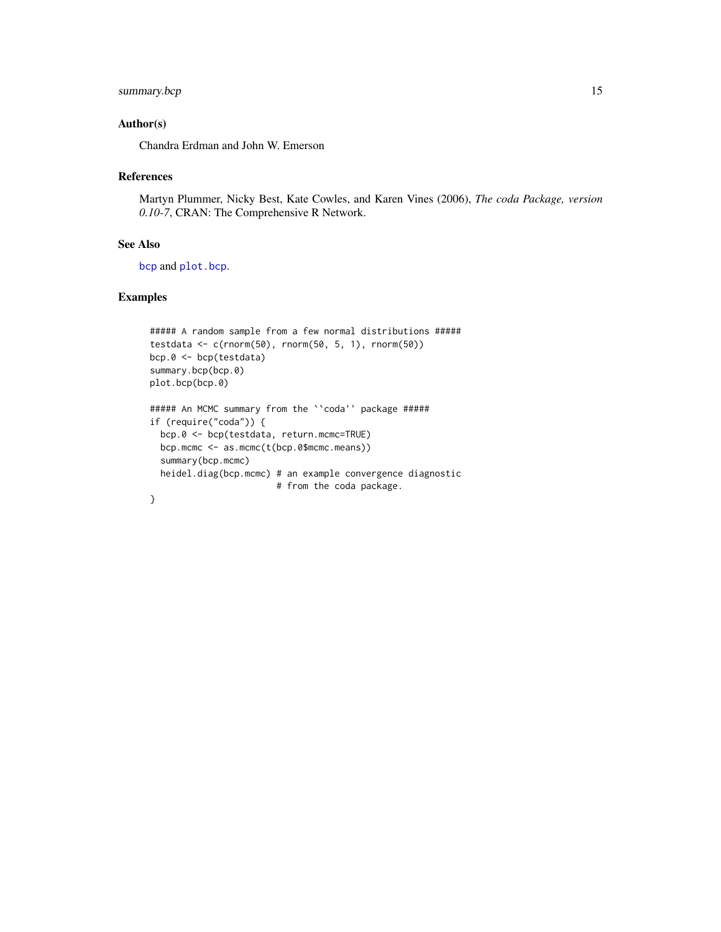## <span id="page-14-0"></span>summary.bcp 15

## Author(s)

Chandra Erdman and John W. Emerson

#### References

Martyn Plummer, Nicky Best, Kate Cowles, and Karen Vines (2006), *The coda Package, version 0.10-7*, CRAN: The Comprehensive R Network.

## See Also

[bcp](#page-1-1) and [plot.bcp](#page-8-1).

```
##### A random sample from a few normal distributions #####
testdata <- c(rnorm(50), rnorm(50, 5, 1), rnorm(50))
bcp.0 <- bcp(testdata)
summary.bcp(bcp.0)
plot.bcp(bcp.0)
##### An MCMC summary from the ``coda'' package #####
if (require("coda")) {
  bcp.0 <- bcp(testdata, return.mcmc=TRUE)
 bcp.mcmc <- as.mcmc(t(bcp.0$mcmc.means))
  summary(bcp.mcmc)
 heidel.diag(bcp.mcmc) # an example convergence diagnostic
                        # from the coda package.
}
```